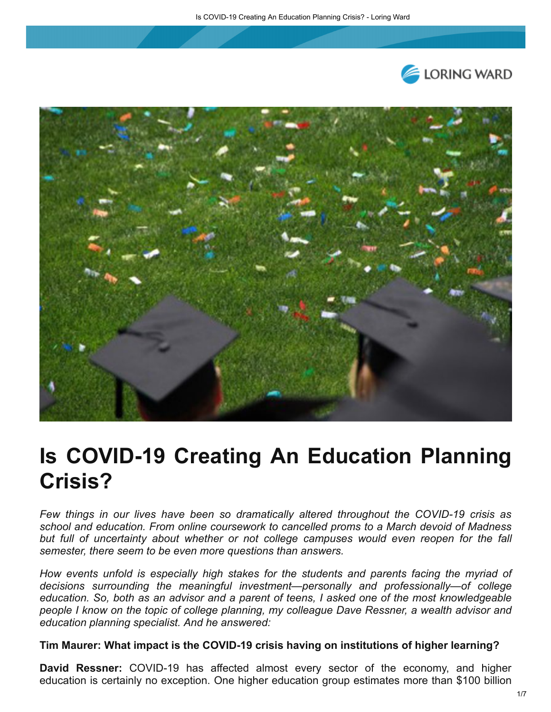



# **Is COVID-19 Creating An Education Planning Crisis?**

*Few things in our lives have been so dramatically altered throughout the COVID-19 crisis as school and education. From online coursework to cancelled proms to a March devoid of Madness but full of uncertainty about whether or not college campuses would even reopen for the fall semester, there seem to be even more questions than answers.*

*How events unfold is especially high stakes for the students and parents facing the myriad of decisions surrounding the meaningful investment—personally and professionally—of college education. So, both as an advisor and a parent of teens, I asked one of the most knowledgeable people I know on the topic of college planning, my colleague Dave Ressner, a wealth advisor and education planning specialist. And he answered:*

#### **Tim Maurer: What impact is the COVID-19 crisis having on institutions of higher learning?**

**David Ressner:** COVID-19 has affected almost every sector of the economy, and higher education is certainly no exception. One higher education group estimates more than \$100 billion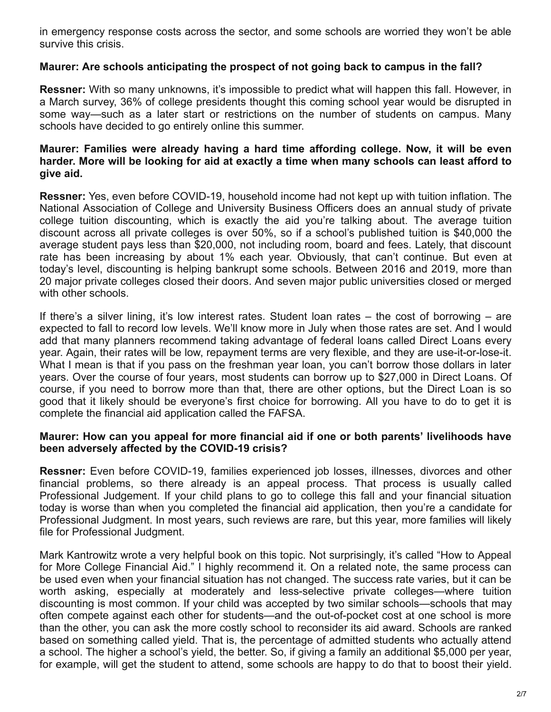in emergency response costs across the sector, and some schools are worried they won't be able survive this crisis.

## **Maurer: Are schools anticipating the prospect of not going back to campus in the fall?**

**Ressner:** With so many unknowns, it's impossible to predict what will happen this fall. However, in a March survey, 36% of college presidents thought this coming school year would be disrupted in some way—such as a later start or restrictions on the number of students on campus. Many schools have decided to go entirely online this summer.

## **Maurer: Families were already having a hard time affording college. Now, it will be even harder. More will be looking for aid at exactly a time when many schools can least afford to give aid.**

**Ressner:** Yes, even before COVID-19, household income had not kept up with tuition inflation. The National Association of College and University Business Officers does an annual study of private college tuition discounting, which is exactly the aid you're talking about. The average tuition discount across all private colleges is over 50%, so if a school's published tuition is \$40,000 the average student pays less than \$20,000, not including room, board and fees. Lately, that discount rate has been increasing by about 1% each year. Obviously, that can't continue. But even at today's level, discounting is helping bankrupt some schools. Between 2016 and 2019, more than 20 major private colleges closed their doors. And seven major public universities closed or merged with other schools.

If there's a silver lining, it's low interest rates. Student loan rates – the cost of borrowing – are expected to fall to record low levels. We'll know more in July when those rates are set. And I would add that many planners recommend taking advantage of federal loans called Direct Loans every year. Again, their rates will be low, repayment terms are very flexible, and they are use-it-or-lose-it. What I mean is that if you pass on the freshman year loan, you can't borrow those dollars in later years. Over the course of four years, most students can borrow up to \$27,000 in Direct Loans. Of course, if you need to borrow more than that, there are other options, but the Direct Loan is so good that it likely should be everyone's first choice for borrowing. All you have to do to get it is complete the financial aid application called the FAFSA.

## **Maurer: How can you appeal for more financial aid if one or both parents' livelihoods have been adversely affected by the COVID-19 crisis?**

**Ressner:** Even before COVID-19, families experienced job losses, illnesses, divorces and other financial problems, so there already is an appeal process. That process is usually called Professional Judgement. If your child plans to go to college this fall and your financial situation today is worse than when you completed the financial aid application, then you're a candidate for Professional Judgment. In most years, such reviews are rare, but this year, more families will likely file for Professional Judgment.

Mark Kantrowitz wrote a very helpful book on this topic. Not surprisingly, it's called "How to Appeal for More College Financial Aid." I highly recommend it. On a related note, the same process can be used even when your financial situation has not changed. The success rate varies, but it can be worth asking, especially at moderately and less-selective private colleges—where tuition discounting is most common. If your child was accepted by two similar schools—schools that may often compete against each other for students—and the out-of-pocket cost at one school is more than the other, you can ask the more costly school to reconsider its aid award. Schools are ranked based on something called yield. That is, the percentage of admitted students who actually attend a school. The higher a school's yield, the better. So, if giving a family an additional \$5,000 per year, for example, will get the student to attend, some schools are happy to do that to boost their yield.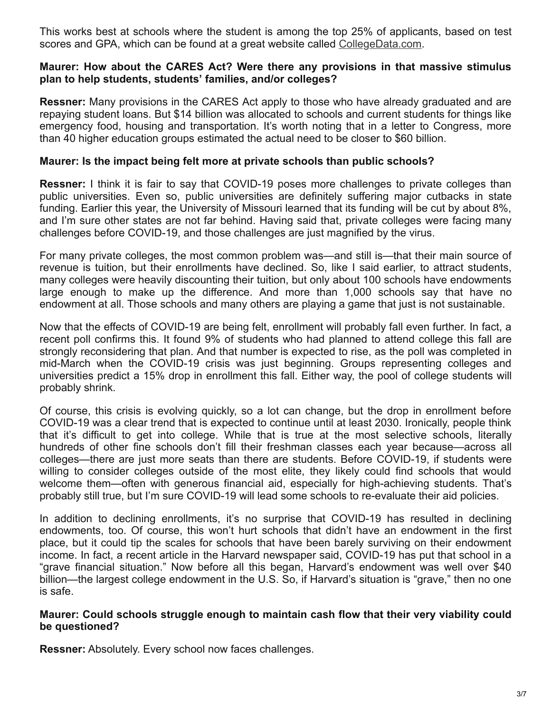This works best at schools where the student is among the top 25% of applicants, based on test scores and GPA, which can be found at a great website called [CollegeData.com](https://www.collegedata.com/).

#### **Maurer: How about the CARES Act? Were there any provisions in that massive stimulus plan to help students, students' families, and/or colleges?**

**Ressner:** Many provisions in the CARES Act apply to those who have already graduated and are repaying student loans. But \$14 billion was allocated to schools and current students for things like emergency food, housing and transportation. It's worth noting that in a letter to Congress, more than 40 higher education groups estimated the actual need to be closer to \$60 billion.

### **Maurer: Is the impact being felt more at private schools than public schools?**

**Ressner:** I think it is fair to say that COVID-19 poses more challenges to private colleges than public universities. Even so, public universities are definitely suffering major cutbacks in state funding. Earlier this year, the University of Missouri learned that its funding will be cut by about 8%, and I'm sure other states are not far behind. Having said that, private colleges were facing many challenges before COVID-19, and those challenges are just magnified by the virus.

For many private colleges, the most common problem was—and still is—that their main source of revenue is tuition, but their enrollments have declined. So, like I said earlier, to attract students, many colleges were heavily discounting their tuition, but only about 100 schools have endowments large enough to make up the difference. And more than 1,000 schools say that have no endowment at all. Those schools and many others are playing a game that just is not sustainable.

Now that the effects of COVID-19 are being felt, enrollment will probably fall even further. In fact, a recent poll confirms this. It found 9% of students who had planned to attend college this fall are strongly reconsidering that plan. And that number is expected to rise, as the poll was completed in mid-March when the COVID-19 crisis was just beginning. Groups representing colleges and universities predict a 15% drop in enrollment this fall. Either way, the pool of college students will probably shrink.

Of course, this crisis is evolving quickly, so a lot can change, but the drop in enrollment before COVID-19 was a clear trend that is expected to continue until at least 2030. Ironically, people think that it's difficult to get into college. While that is true at the most selective schools, literally hundreds of other fine schools don't fill their freshman classes each year because—across all colleges—there are just more seats than there are students. Before COVID-19, if students were willing to consider colleges outside of the most elite, they likely could find schools that would welcome them—often with generous financial aid, especially for high-achieving students. That's probably still true, but I'm sure COVID-19 will lead some schools to re-evaluate their aid policies.

In addition to declining enrollments, it's no surprise that COVID-19 has resulted in declining endowments, too. Of course, this won't hurt schools that didn't have an endowment in the first place, but it could tip the scales for schools that have been barely surviving on their endowment income. In fact, a recent article in the Harvard newspaper said, COVID-19 has put that school in a "grave financial situation." Now before all this began, Harvard's endowment was well over \$40 billion—the largest college endowment in the U.S. So, if Harvard's situation is "grave," then no one is safe.

#### **Maurer: Could schools struggle enough to maintain cash flow that their very viability could be questioned?**

**Ressner:** Absolutely. Every school now faces challenges.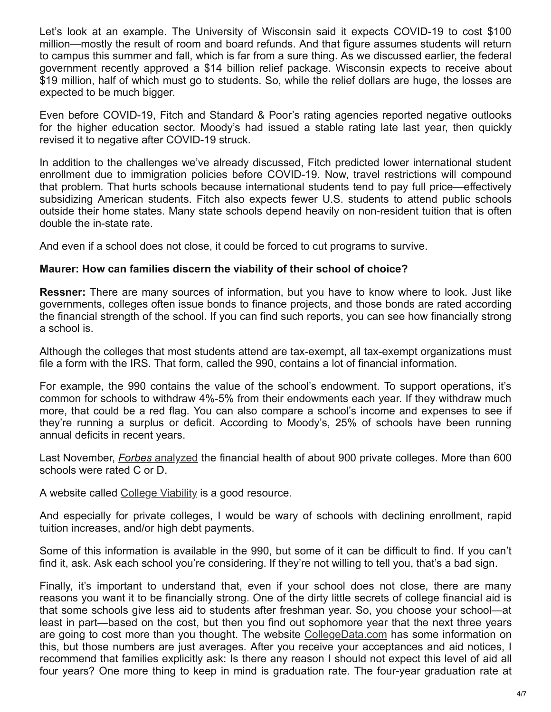Let's look at an example. The University of Wisconsin said it expects COVID-19 to cost \$100 million—mostly the result of room and board refunds. And that figure assumes students will return to campus this summer and fall, which is far from a sure thing. As we discussed earlier, the federal government recently approved a \$14 billion relief package. Wisconsin expects to receive about \$19 million, half of which must go to students. So, while the relief dollars are huge, the losses are expected to be much bigger.

Even before COVID-19, Fitch and Standard & Poor's rating agencies reported negative outlooks for the higher education sector. Moody's had issued a stable rating late last year, then quickly revised it to negative after COVID-19 struck.

In addition to the challenges we've already discussed, Fitch predicted lower international student enrollment due to immigration policies before COVID-19. Now, travel restrictions will compound that problem. That hurts schools because international students tend to pay full price—effectively subsidizing American students. Fitch also expects fewer U.S. students to attend public schools outside their home states. Many state schools depend heavily on non-resident tuition that is often double the in-state rate.

And even if a school does not close, it could be forced to cut programs to survive.

## **Maurer: How can families discern the viability of their school of choice?**

**Ressner:** There are many sources of information, but you have to know where to look. Just like governments, colleges often issue bonds to finance projects, and those bonds are rated according the financial strength of the school. If you can find such reports, you can see how financially strong a school is.

Although the colleges that most students attend are tax-exempt, all tax-exempt organizations must file a form with the IRS. That form, called the 990, contains a lot of financial information.

For example, the 990 contains the value of the school's endowment. To support operations, it's common for schools to withdraw 4%-5% from their endowments each year. If they withdraw much more, that could be a red flag. You can also compare a school's income and expenses to see if they're running a surplus or deficit. According to Moody's, 25% of schools have been running annual deficits in recent years.

Last November, *Forbes* [analyzed](https://www.forbes.com/sites/cartercoudriet/2019/11/27/how-fit-is-your-school-the-methodology-behind-forbes-2019-college-financial-health-grades/#53b2abb261c4) the financial health of about 900 private colleges. More than 600 schools were rated C or D.

A website called [College Viability](https://collegeviability.com/) is a good resource.

And especially for private colleges, I would be wary of schools with declining enrollment, rapid tuition increases, and/or high debt payments.

Some of this information is available in the 990, but some of it can be difficult to find. If you can't find it, ask. Ask each school you're considering. If they're not willing to tell you, that's a bad sign.

Finally, it's important to understand that, even if your school does not close, there are many reasons you want it to be financially strong. One of the dirty little secrets of college financial aid is that some schools give less aid to students after freshman year. So, you choose your school—at least in part—based on the cost, but then you find out sophomore year that the next three years are going to cost more than you thought. The website [CollegeData.com](https://www.collegedata.com/) has some information on this, but those numbers are just averages. After you receive your acceptances and aid notices, I recommend that families explicitly ask: Is there any reason I should not expect this level of aid all four years? One more thing to keep in mind is graduation rate. The four-year graduation rate at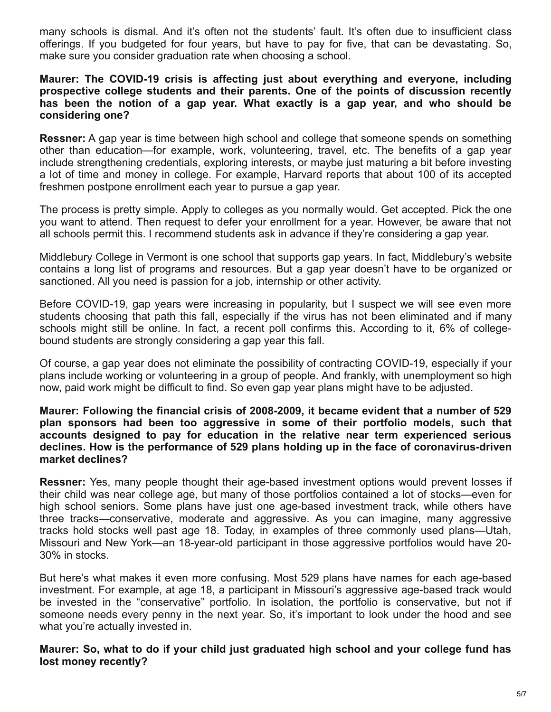many schools is dismal. And it's often not the students' fault. It's often due to insufficient class offerings. If you budgeted for four years, but have to pay for five, that can be devastating. So, make sure you consider graduation rate when choosing a school.

#### **Maurer: The COVID-19 crisis is affecting just about everything and everyone, including prospective college students and their parents. One of the points of discussion recently has been the notion of a gap year. What exactly is a gap year, and who should be considering one?**

**Ressner:** A gap year is time between high school and college that someone spends on something other than education—for example, work, volunteering, travel, etc. The benefits of a gap year include strengthening credentials, exploring interests, or maybe just maturing a bit before investing a lot of time and money in college. For example, Harvard reports that about 100 of its accepted freshmen postpone enrollment each year to pursue a gap year.

The process is pretty simple. Apply to colleges as you normally would. Get accepted. Pick the one you want to attend. Then request to defer your enrollment for a year. However, be aware that not all schools permit this. I recommend students ask in advance if they're considering a gap year.

Middlebury College in Vermont is one school that supports gap years. In fact, Middlebury's website contains a long list of programs and resources. But a gap year doesn't have to be organized or sanctioned. All you need is passion for a job, internship or other activity.

Before COVID-19, gap years were increasing in popularity, but I suspect we will see even more students choosing that path this fall, especially if the virus has not been eliminated and if many schools might still be online. In fact, a recent poll confirms this. According to it, 6% of collegebound students are strongly considering a gap year this fall.

Of course, a gap year does not eliminate the possibility of contracting COVID-19, especially if your plans include working or volunteering in a group of people. And frankly, with unemployment so high now, paid work might be difficult to find. So even gap year plans might have to be adjusted.

### **Maurer: Following the financial crisis of 2008-2009, it became evident that a number of 529 plan sponsors had been too aggressive in some of their portfolio models, such that accounts designed to pay for education in the relative near term experienced serious declines. How is the performance of 529 plans holding up in the face of coronavirus-driven market declines?**

**Ressner:** Yes, many people thought their age-based investment options would prevent losses if their child was near college age, but many of those portfolios contained a lot of stocks—even for high school seniors. Some plans have just one age-based investment track, while others have three tracks—conservative, moderate and aggressive. As you can imagine, many aggressive tracks hold stocks well past age 18. Today, in examples of three commonly used plans—Utah, Missouri and New York—an 18-year-old participant in those aggressive portfolios would have 20- 30% in stocks.

But here's what makes it even more confusing. Most 529 plans have names for each age-based investment. For example, at age 18, a participant in Missouri's aggressive age-based track would be invested in the "conservative" portfolio. In isolation, the portfolio is conservative, but not if someone needs every penny in the next year. So, it's important to look under the hood and see what you're actually invested in.

## **Maurer: So, what to do if your child just graduated high school and your college fund has lost money recently?**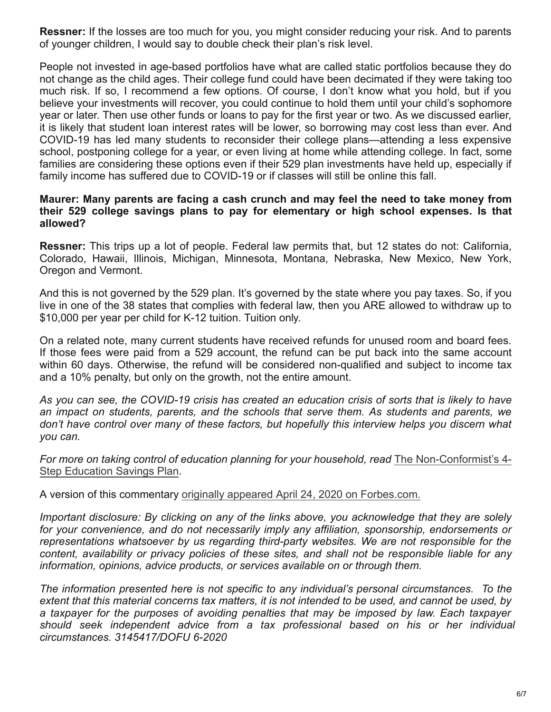**Ressner:** If the losses are too much for you, you might consider reducing your risk. And to parents of younger children, I would say to double check their plan's risk level.

People not invested in age-based portfolios have what are called static portfolios because they do not change as the child ages. Their college fund could have been decimated if they were taking too much risk. If so, I recommend a few options. Of course, I don't know what you hold, but if you believe your investments will recover, you could continue to hold them until your child's sophomore year or later. Then use other funds or loans to pay for the first year or two. As we discussed earlier, it is likely that student loan interest rates will be lower, so borrowing may cost less than ever. And COVID-19 has led many students to reconsider their college plans—attending a less expensive school, postponing college for a year, or even living at home while attending college. In fact, some families are considering these options even if their 529 plan investments have held up, especially if family income has suffered due to COVID-19 or if classes will still be online this fall.

#### **Maurer: Many parents are facing a cash crunch and may feel the need to take money from their 529 college savings plans to pay for elementary or high school expenses. Is that allowed?**

**Ressner:** This trips up a lot of people. Federal law permits that, but 12 states do not: California, Colorado, Hawaii, Illinois, Michigan, Minnesota, Montana, Nebraska, New Mexico, New York, Oregon and Vermont.

And this is not governed by the 529 plan. It's governed by the state where you pay taxes. So, if you live in one of the 38 states that complies with federal law, then you ARE allowed to withdraw up to \$10,000 per year per child for K-12 tuition. Tuition only.

On a related note, many current students have received refunds for unused room and board fees. If those fees were paid from a 529 account, the refund can be put back into the same account within 60 days. Otherwise, the refund will be considered non-qualified and subject to income tax and a 10% penalty, but only on the growth, not the entire amount.

*As you can see, the COVID-19 crisis has created an education crisis of sorts that is likely to have an impact on students, parents, and the schools that serve them. As students and parents, we don't have control over many of these factors, but hopefully this interview helps you discern what you can.*

[For more on taking control of education planning for your household, read](https://www.forbes.com/sites/timmaurer/2012/05/31/the-non-conformists-4-step-education-savings-plan/#759fec0f5918) The Non-Conformist's 4-Step Education Savings Plan.

A version of this commentary [originally appeared April 24, 2020 on Forbes.com.](https://www.forbes.com/sites/timmaurer/2020/04/24/is-covid-19-creating-an-education-planning-crisis/#11d33e3bcbab)

*Important disclosure: By clicking on any of the links above, you acknowledge that they are solely for your convenience, and do not necessarily imply any affiliation, sponsorship, endorsements or representations whatsoever by us regarding third-party websites. We are not responsible for the content, availability or privacy policies of these sites, and shall not be responsible liable for any information, opinions, advice products, or services available on or through them.*

*The information presented here is not specific to any individual's personal circumstances. To the extent that this material concerns tax matters, it is not intended to be used, and cannot be used, by a taxpayer for the purposes of avoiding penalties that may be imposed by law. Each taxpayer should seek independent advice from a tax professional based on his or her individual circumstances. 3145417/DOFU 6-2020*